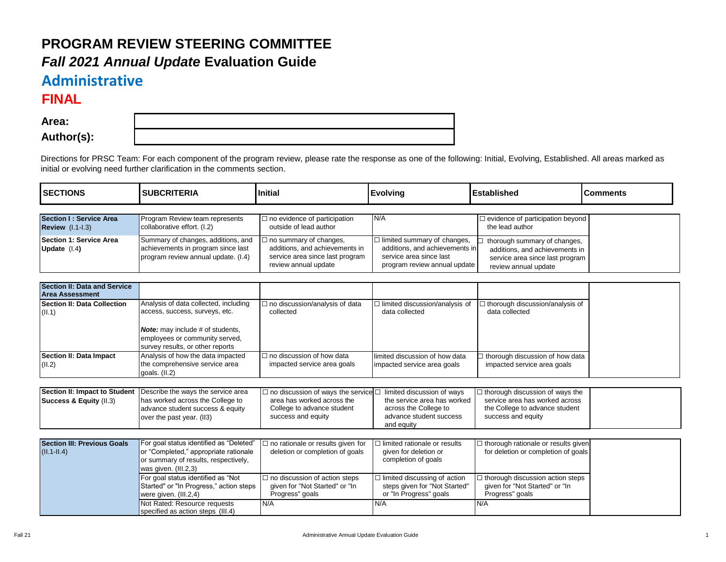## **PROGRAM REVIEW STEERING COMMITTEE** *Fall 2021 Annual Update* **Evaluation Guide**

Not Rated: Resource requests specified as action steps (III.4)

## **Administrative**

## **FINAL**

**Area: Author(s):**

Directions for PRSC Team: For each component of the program review, please rate the response as one of the following: Initial, Evolving, Established. All areas marked as initial or evolving need further clarification in the comments section.

| <b>SECTIONS</b>                                          | <b>SUBCRITERIA</b>                                                                                                                                                                       | <b>Initial</b>                                                                                                                          | <b>Evolving</b>                                                                                                                 | <b>Established</b>                                                                                                               | <b>Comments</b> |
|----------------------------------------------------------|------------------------------------------------------------------------------------------------------------------------------------------------------------------------------------------|-----------------------------------------------------------------------------------------------------------------------------------------|---------------------------------------------------------------------------------------------------------------------------------|----------------------------------------------------------------------------------------------------------------------------------|-----------------|
| Section I: Service Area<br><b>Review (I.1-I.3)</b>       | Program Review team represents<br>collaborative effort. (I.2)                                                                                                                            | $\Box$ no evidence of participation<br>outside of lead author                                                                           | N/A                                                                                                                             | □ evidence of participation beyond<br>the lead author                                                                            |                 |
| <b>Section 1: Service Area</b><br>Update (I.4)           | Summary of changes, additions, and<br>achievements in program since last<br>program review annual update. (I.4)                                                                          | $\Box$ no summary of changes,<br>additions, and achievements in<br>service area since last program<br>review annual update              | $\Box$ limited summary of changes,<br>additions, and achievements in<br>service area since last<br>program review annual update | thorough summary of changes,<br>additions, and achievements in<br>service area since last program<br>review annual update        |                 |
| Section II: Data and Service<br><b>Area Assessment</b>   |                                                                                                                                                                                          |                                                                                                                                         |                                                                                                                                 |                                                                                                                                  |                 |
| Section II: Data Collection<br>(II.1)                    | Analysis of data collected, including<br>access, success, surveys, etc.<br><b>Note:</b> may include # of students,<br>employees or community served,<br>survey results, or other reports | $\Box$ no discussion/analysis of data<br>collected                                                                                      | $\Box$ limited discussion/analysis of<br>data collected                                                                         | 1 thorough discussion/analysis of<br>data collected                                                                              |                 |
| Section II: Data Impact<br>(II.2)                        | Analysis of how the data impacted<br>the comprehensive service area<br>goals. $(II.2)$                                                                                                   | $\Box$ no discussion of how data<br>impacted service area goals                                                                         | limited discussion of how data<br>impacted service area goals                                                                   | thorough discussion of how data<br>impacted service area goals                                                                   |                 |
|                                                          |                                                                                                                                                                                          |                                                                                                                                         |                                                                                                                                 |                                                                                                                                  |                 |
| Section II: Impact to Student<br>Success & Equity (II.3) | Describe the ways the service area<br>has worked across the College to<br>advance student success & equity<br>over the past year. (II3)                                                  | $\square$ no discussion of ways the service $\square$<br>area has worked across the<br>College to advance student<br>success and equity | limited discussion of ways<br>the service area has worked<br>across the College to<br>advance student success<br>and equity     | $\Box$ thorough discussion of ways the<br>service area has worked across<br>the College to advance student<br>success and equity |                 |
|                                                          |                                                                                                                                                                                          |                                                                                                                                         |                                                                                                                                 |                                                                                                                                  |                 |
| <b>Section III: Previous Goals</b><br>$(II.1-II.4)$      | For goal status identified as "Deleted"<br>or "Completed," appropriate rationale<br>or summary of results, respectively,<br>was given. (III.2,3)                                         | $\Box$ no rationale or results given for<br>deletion or completion of goals                                                             | $\Box$ limited rationale or results<br>given for deletion or<br>completion of goals                                             | $\Box$ thorough rationale or results given<br>for deletion or completion of goals                                                |                 |
|                                                          | For goal status identified as "Not<br>Started" or "In Progress," action steps<br>were given. (III.2,4)                                                                                   | $\Box$ no discussion of action steps<br>given for "Not Started" or "In<br>Progress" goals                                               | $\Box$ limited discussing of action<br>steps given for "Not Started"<br>or "In Progress" goals                                  | $\Box$ thorough discussion action steps<br>given for "Not Started" or "In<br>Progress" goals                                     |                 |

N/A N/A N/A